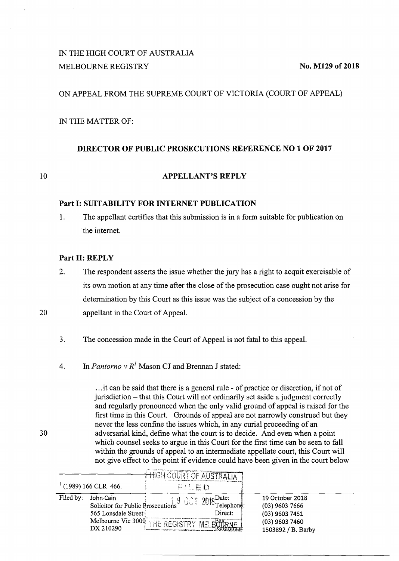# IN THE HIGH COURT OF AUSTRALIA MELBOURNE REGISTRY No. M129 of 2018

### ON APPEAL FROM THE SUPREME COURT OF VICTORIA (COURT OF APPEAL)

IN THE MATTER OF:

### **DIRECTOR OF PUBLIC PROSECUTIONS REFERENCE NO 1 OF 2017**

10

## **APPELLANT'S REPLY**

#### **Part 1: SUITABILITY FOR INTERNET PUBLICATION**

1. The appellant certifies that this submission is in a form suitable for publication on the internet.

### **Part II: REPLY**

- 2. The respondent asserts the issue whether the jury has a right to acquit exercisable of its own motion at any time after the close of the prosecution case ought not arise for determination by this Court as this issue was the subject of a concession by the appellant in the Court of Appeal.
- 3. The concession made in the Court of Appeal is not fatal to this appeal.
- 4. In *Pantorno v R<sup>1</sup>* Mason CJ and Brennan J stated:

. .. it can be said that there is a general rule - of practice or discretion, if not of jurisdiction – that this Court will not ordinarily set aside a judgment correctly and regularly pronounced when the only valid ground of appeal is raised for the first time in this Court. Grounds of appeal are not narrowly construed but they never the less confine the issues which, in any curial proceeding of an adversarial kind, define what the court is to decide. And even when a point which counsel seeks to argue in this Court for the first time can be seen to fall within the grounds of appeal to an intermediate appellate court, this Court will not give effect to the point if evidence could have been given in the court below

|                     |                                                                                                           | HIGH COURT OF AT   |                                                        |                                                                                                   |  |
|---------------------|-----------------------------------------------------------------------------------------------------------|--------------------|--------------------------------------------------------|---------------------------------------------------------------------------------------------------|--|
| (1989) 166 CLR 466. |                                                                                                           | FILED              |                                                        |                                                                                                   |  |
| Filed by:           | John Cain<br>Solicitor for Public Prosecutions<br>565 Lonsdale Street!<br>Melbourne Vic 3000<br>DX 210290 | THE REGISTRY MELBE | $\left  \int_{\mathbf{S}} 9$ OCT 2018 Date:<br>Direct: | 19 October 2018<br>$(03)$ 9603 7666<br>$(03)$ 9603 7451<br>$(03)$ 9603 7460<br>1503892 / B. Barby |  |

30

20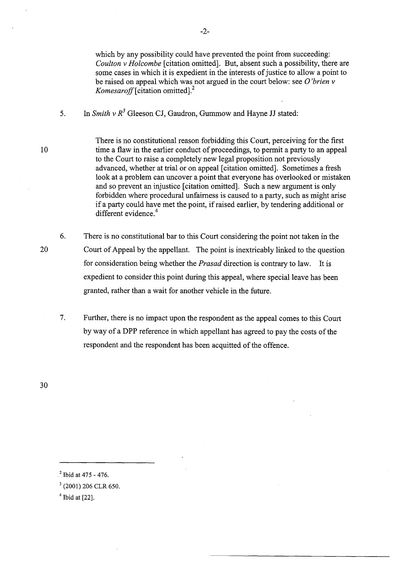which by any possibility could have prevented the point from succeeding: *Coulton v Holcombe* [citation omitted]. But, absent such a possibility, there are some cases in which it is expedient in the interests of justice to allow a point to be raised on appeal which was not argued in the court below: see *0 'brien v Komesaroff* [ citation omitted].<sup>2</sup>

- 5. In *Smith v*  $R^3$  Gleeson CJ, Gaudron, Gummow and Hayne JJ stated:
- 10 There is no constitutional reason forbidding this Court, perceiving for the first time a flaw in the earlier conduct of proceedings, to permit a party to an appeal to the Court to raise a completely new legal proposition not previously advanced, whether at trial or on appeal [citation omitted]. Sometimes a fresh look at a problem can uncover a point that everyone has overlooked or mistaken and so prevent an injustice [citation omitted]. Such a new argument is only forbidden where procedural unfairness is caused to a party, such as might arise if a party could have met the point, if raised earlier, by tendering additional or different evidence.<sup>4</sup>
	- 6. There is no constitutional bar to this Court considering the point not taken in the Court of Appeal by the appellant. The point is inextricably linked to the question for consideration being whether the *Prasad* direction is contrary to law. It is expedient to consider this point during this appeal, where special leave has been granted, rather than a wait for another vehicle in the future.
		- 7. Further, there is no impact upon the respondent as the appeal comes to this Court by way of a DPP reference in which appellant has agreed to pay the costs of the respondent and the respondent has been acquitted of the offence.

20

 $^{2}$  Ibid at 475 - 476.

 $3$  (2001) 206 CLR 650.

 $4$  Ibid at [22].